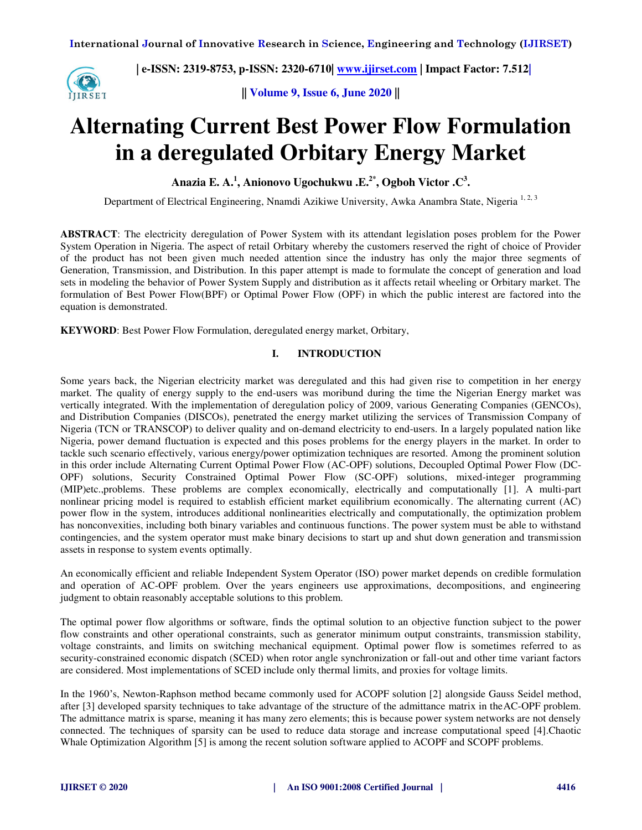

**|| Volume 9, Issue 6, June 2020 ||** 

# **Alternating Current Best Power Flow Formulation in a deregulated Orbitary Energy Market**

**Anazia E. A.<sup>1</sup> , Anionovo Ugochukwu .E.2\*, Ogboh Victor .C<sup>3</sup> .** 

Department of Electrical Engineering, Nnamdi Azikiwe University, Awka Anambra State, Nigeria<sup>1,2,3</sup>

**ABSTRACT**: The electricity deregulation of Power System with its attendant legislation poses problem for the Power System Operation in Nigeria. The aspect of retail Orbitary whereby the customers reserved the right of choice of Provider of the product has not been given much needed attention since the industry has only the major three segments of Generation, Transmission, and Distribution. In this paper attempt is made to formulate the concept of generation and load sets in modeling the behavior of Power System Supply and distribution as it affects retail wheeling or Orbitary market. The formulation of Best Power Flow(BPF) or Optimal Power Flow (OPF) in which the public interest are factored into the equation is demonstrated.

**KEYWORD**: Best Power Flow Formulation, deregulated energy market, Orbitary,

### **I. INTRODUCTION**

Some years back, the Nigerian electricity market was deregulated and this had given rise to competition in her energy market. The quality of energy supply to the end-users was moribund during the time the Nigerian Energy market was vertically integrated. With the implementation of deregulation policy of 2009, various Generating Companies (GENCOs), and Distribution Companies (DISCOs), penetrated the energy market utilizing the services of Transmission Company of Nigeria (TCN or TRANSCOP) to deliver quality and on-demand electricity to end-users. In a largely populated nation like Nigeria, power demand fluctuation is expected and this poses problems for the energy players in the market. In order to tackle such scenario effectively, various energy/power optimization techniques are resorted. Among the prominent solution in this order include Alternating Current Optimal Power Flow (AC-OPF) solutions, Decoupled Optimal Power Flow (DC-OPF) solutions, Security Constrained Optimal Power Flow (SC-OPF) solutions, mixed-integer programming (MIP)etc.,problems. These problems are complex economically, electrically and computationally [1]. A multi-part nonlinear pricing model is required to establish efficient market equilibrium economically. The alternating current (AC) power flow in the system, introduces additional nonlinearities electrically and computationally, the optimization problem has nonconvexities, including both binary variables and continuous functions. The power system must be able to withstand contingencies, and the system operator must make binary decisions to start up and shut down generation and transmission assets in response to system events optimally.

An economically efficient and reliable Independent System Operator (ISO) power market depends on credible formulation and operation of AC-OPF problem. Over the years engineers use approximations, decompositions, and engineering judgment to obtain reasonably acceptable solutions to this problem.

The optimal power flow algorithms or software, finds the optimal solution to an objective function subject to the power flow constraints and other operational constraints, such as generator minimum output constraints, transmission stability, voltage constraints, and limits on switching mechanical equipment. Optimal power flow is sometimes referred to as security-constrained economic dispatch (SCED) when rotor angle synchronization or fall-out and other time variant factors are considered. Most implementations of SCED include only thermal limits, and proxies for voltage limits.

In the 1960's, Newton-Raphson method became commonly used for ACOPF solution [2] alongside Gauss Seidel method, after [3] developed sparsity techniques to take advantage of the structure of the admittance matrix in theAC-OPF problem. The admittance matrix is sparse, meaning it has many zero elements; this is because power system networks are not densely connected. The techniques of sparsity can be used to reduce data storage and increase computational speed [4].Chaotic Whale Optimization Algorithm [5] is among the recent solution software applied to ACOPF and SCOPF problems.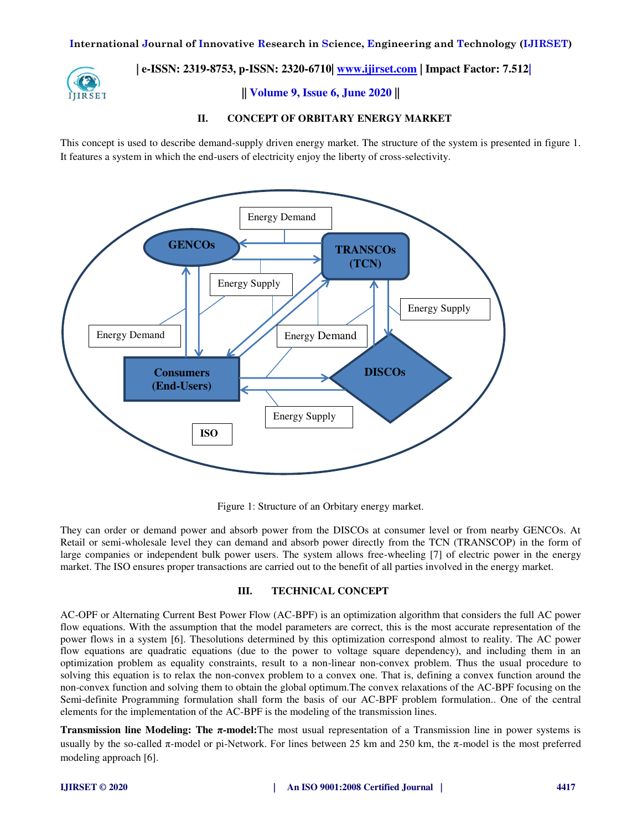

**|| Volume 9, Issue 6, June 2020 ||** 

### **II. CONCEPT OF ORBITARY ENERGY MARKET**

This concept is used to describe demand-supply driven energy market. The structure of the system is presented in figure 1. It features a system in which the end-users of electricity enjoy the liberty of cross-selectivity.



Figure 1: Structure of an Orbitary energy market.

They can order or demand power and absorb power from the DISCOs at consumer level or from nearby GENCOs. At Retail or semi-wholesale level they can demand and absorb power directly from the TCN (TRANSCOP) in the form of large companies or independent bulk power users. The system allows free-wheeling [7] of electric power in the energy market. The ISO ensures proper transactions are carried out to the benefit of all parties involved in the energy market.

### **III. TECHNICAL CONCEPT**

AC-OPF or Alternating Current Best Power Flow (AC-BPF) is an optimization algorithm that considers the full AC power flow equations. With the assumption that the model parameters are correct, this is the most accurate representation of the power flows in a system [6]. Thesolutions determined by this optimization correspond almost to reality. The AC power flow equations are quadratic equations (due to the power to voltage square dependency), and including them in an optimization problem as equality constraints, result to a non-linear non-convex problem. Thus the usual procedure to solving this equation is to relax the non-convex problem to a convex one. That is, defining a convex function around the non-convex function and solving them to obtain the global optimum.The convex relaxations of the AC-BPF focusing on the Semi-definite Programming formulation shall form the basis of our AC-BPF problem formulation.. One of the central elements for the implementation of the AC-BPF is the modeling of the transmission lines.

**Transmission line Modeling: The π-model:**The most usual representation of a Transmission line in power systems is usually by the so-called  $\pi$ -model or pi-Network. For lines between 25 km and 250 km, the  $\pi$ -model is the most preferred modeling approach [6].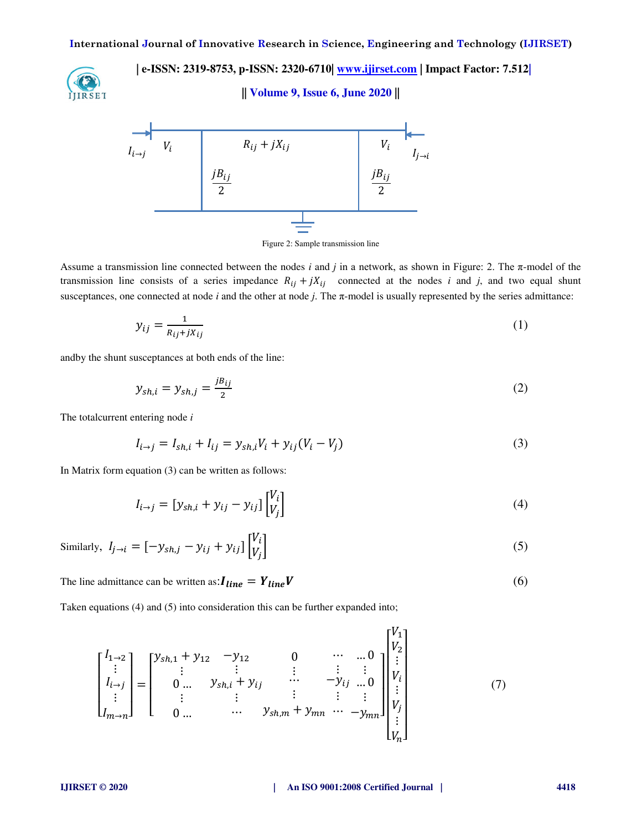**IIIRSET** 

 **| e-ISSN: 2319-8753, p-ISSN: 2320-6710| [www.ijirset.com](http://www.ijirset.com/) | Impact Factor: 7.512|**

### **|| Volume 9, Issue 6, June 2020 ||**



Figure 2: Sample transmission line

Assume a transmission line connected between the nodes *i* and *j* in a network, as shown in Figure: 2. The  $\pi$ -model of the transmission line consists of a series impedance  $R_{ij} + jX_{ij}$  connected at the nodes *i* and *j*, and two equal shunt susceptances, one connected at node *i* and the other at node *j*. The π-model is usually represented by the series admittance:

$$
y_{ij} = \frac{1}{R_{ij} + jX_{ij}}\tag{1}
$$

andby the shunt susceptances at both ends of the line:

$$
y_{sh,i} = y_{sh,j} = \frac{j_{}j_{ij}}{2}
$$
 (2)

The totalcurrent entering node *i* 

$$
I_{i \to j} = I_{sh,i} + I_{ij} = y_{sh,i}V_i + y_{ij}(V_i - V_j)
$$
\n(3)

In Matrix form equation (3) can be written as follows:

$$
I_{i \to j} = [y_{sh,i} + y_{ij} - y_{ij}] \begin{bmatrix} V_i \\ V_j \end{bmatrix}
$$
 (4)

Similarly, 
$$
I_{j \to i} = [-y_{sh,j} - y_{ij} + y_{ij}] \begin{bmatrix} V_i \\ V_j \end{bmatrix}
$$
 (5)

The line admittance can be written as:  $I_{line} = Y_{line} V$  (6)

Taken equations (4) and (5) into consideration this can be further expanded into;

$$
\begin{bmatrix} I_{1\to 2} \\ \vdots \\ I_{i\to j} \\ \vdots \\ I_{m\to n} \end{bmatrix} = \begin{bmatrix} y_{sh,1} + y_{12} & -y_{12} & 0 & \cdots & \cdots & 0 \\ \vdots & \vdots & \vdots & \ddots & \vdots & \vdots \\ 0 & \cdots & y_{sh,i} + y_{ij} & \cdots & -y_{ij} & \cdots & 0 \\ \vdots & \vdots & \vdots & \vdots & \vdots & \vdots \\ 0 & \cdots & \cdots & y_{sh,m} + y_{mn} & \cdots & -y_{mn} \end{bmatrix} \begin{bmatrix} V_1 \\ V_2 \\ \vdots \\ V_i \\ \vdots \\ V_j \\ V_j \\ \vdots \\ V_n \end{bmatrix}
$$
(7)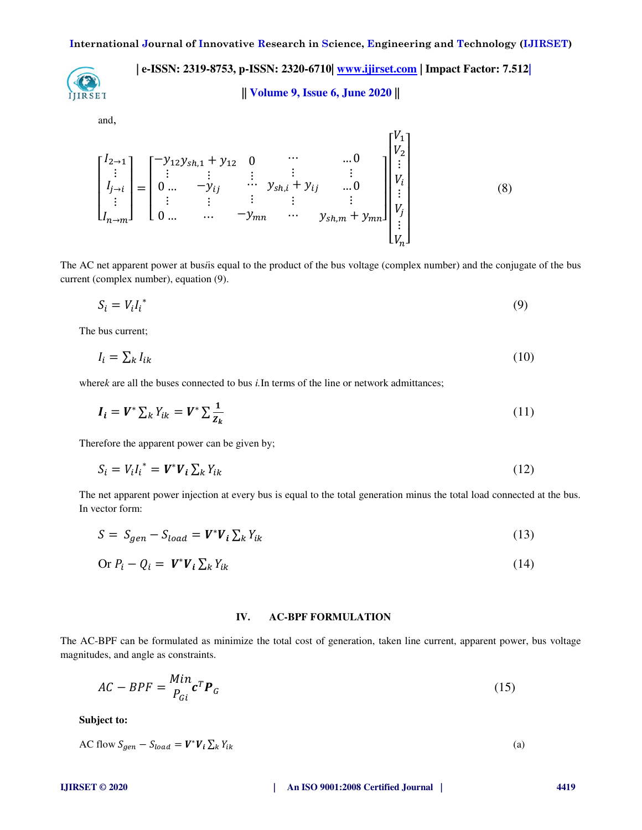

**|| Volume 9, Issue 6, June 2020 ||** 

and,

$$
\begin{bmatrix} I_{2\to1} \\ \vdots \\ I_{j\to i} \\ \vdots \\ I_{n\to m} \end{bmatrix} = \begin{bmatrix} -y_{12}y_{sh,1} + y_{12} & 0 & \cdots & 0 \\ \vdots & \vdots & \vdots & \vdots & \vdots \\ 0 & \cdots & -y_{ij} & \cdots & y_{sh,i} + y_{ij} & \cdots & 0 \\ \vdots & \vdots & \vdots & \vdots & \vdots & \vdots \\ 0 & \cdots & \cdots & -y_{mn} & \cdots & y_{sh,m} + y_{mn} \end{bmatrix} \begin{bmatrix} V_1 \\ V_2 \\ \vdots \\ V_i \\ \vdots \\ V_j \\ \vdots \\ V_n \end{bmatrix}
$$
 (8)

The AC net apparent power at bus*i*is equal to the product of the bus voltage (complex number) and the conjugate of the bus current (complex number), equation (9).

$$
S_i = V_i I_i^* \tag{9}
$$

The bus current;

$$
I_i = \sum_k I_{ik} \tag{10}
$$

where*k* are all the buses connected to bus *i*. In terms of the line or network admittances;

$$
\boldsymbol{I}_i = \boldsymbol{V}^* \sum_k Y_{ik} = \boldsymbol{V}^* \sum_k \frac{1}{Z_k} \tag{11}
$$

Therefore the apparent power can be given by;

 $\sim 10$ 

$$
S_i = V_i I_i^* = \boldsymbol{V}^* \boldsymbol{V}_i \sum_k Y_{ik} \tag{12}
$$

The net apparent power injection at every bus is equal to the total generation minus the total load connected at the bus. In vector form:

$$
S = S_{gen} - S_{load} = V^* V_i \sum_k Y_{ik}
$$
\n(13)

$$
\text{Or } P_i - Q_i = \mathbf{V}^* \mathbf{V}_i \sum_k Y_{ik} \tag{14}
$$

### **IV. AC-BPF FORMULATION**

The AC-BPF can be formulated as minimize the total cost of generation, taken line current, apparent power, bus voltage magnitudes, and angle as constraints.

$$
AC - BPF = \frac{Min}{P_{Gi}} \mathbf{c}^T \mathbf{P}_G
$$
 (15)

**Subject to:** 

AC flow  $S_{gen} - S_{load} = V^* V_i \sum_k Y_{ik}$  (a)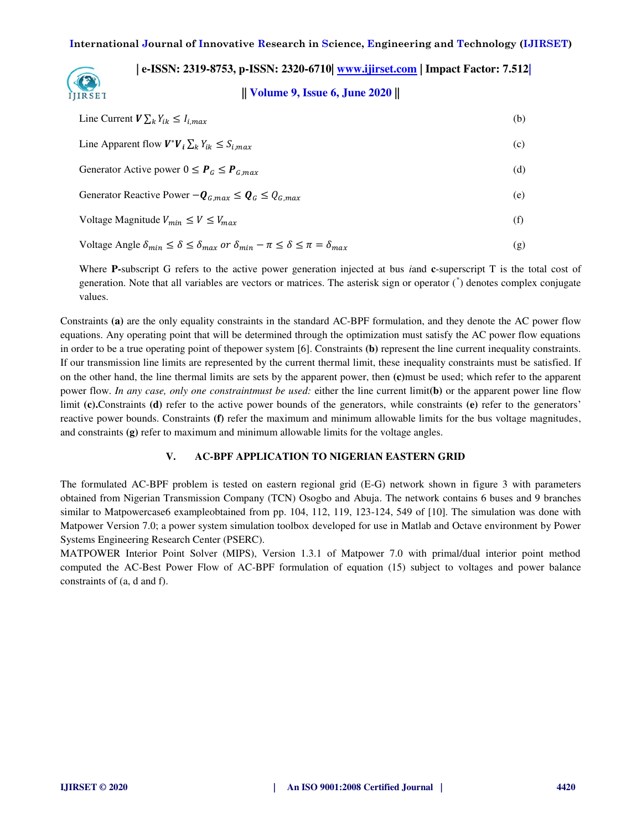**|| Volume 9, Issue 6, June 2020 ||** 

| Line Current $V \sum_k Y_{ik} \leq I_{i,max}$                                                                          | (b) |
|------------------------------------------------------------------------------------------------------------------------|-----|
| Line Apparent flow $V^*V_i \sum_k Y_{ik} \leq S_{i,max}$                                                               | (c) |
| Generator Active power $0 \le P_G \le P_{G,max}$                                                                       | (d) |
| Generator Reactive Power $-\mathbf{Q}_{G,max} \leq \mathbf{Q}_G \leq Q_{G,max}$                                        | (e) |
| Voltage Magnitude $V_{min} \leq V \leq V_{max}$                                                                        | (f) |
| Voltage Angle $\delta_{min} \leq \delta \leq \delta_{max}$ or $\delta_{min} - \pi \leq \delta \leq \pi = \delta_{max}$ | (g) |

Where **P-**subscript G refers to the active power generation injected at bus *i*and **c**-superscript T is the total cost of generation. Note that all variables are vectors or matrices. The asterisk sign or operator (\* ) denotes complex conjugate values.

Constraints **(a)** are the only equality constraints in the standard AC-BPF formulation, and they denote the AC power flow equations. Any operating point that will be determined through the optimization must satisfy the AC power flow equations in order to be a true operating point of thepower system [6]. Constraints **(b)** represent the line current inequality constraints. If our transmission line limits are represented by the current thermal limit, these inequality constraints must be satisfied. If on the other hand, the line thermal limits are sets by the apparent power, then **(c)**must be used; which refer to the apparent power flow. *In any case, only one constraintmust be used:* either the line current limit**(b)** or the apparent power line flow limit **(c).**Constraints **(d)** refer to the active power bounds of the generators, while constraints **(e)** refer to the generators' reactive power bounds. Constraints **(f)** refer the maximum and minimum allowable limits for the bus voltage magnitudes, and constraints **(g)** refer to maximum and minimum allowable limits for the voltage angles.

### **V. AC-BPF APPLICATION TO NIGERIAN EASTERN GRID**

The formulated AC-BPF problem is tested on eastern regional grid (E-G) network shown in figure 3 with parameters obtained from Nigerian Transmission Company (TCN) Osogbo and Abuja. The network contains 6 buses and 9 branches similar to Matpowercase6 exampleobtained from pp. 104, 112, 119, 123-124, 549 of [10]. The simulation was done with Matpower Version 7.0; a power system simulation toolbox developed for use in Matlab and Octave environment by Power Systems Engineering Research Center (PSERC).

MATPOWER Interior Point Solver (MIPS), Version 1.3.1 of Matpower 7.0 with primal/dual interior point method computed the AC-Best Power Flow of AC-BPF formulation of equation (15) subject to voltages and power balance constraints of (a, d and f).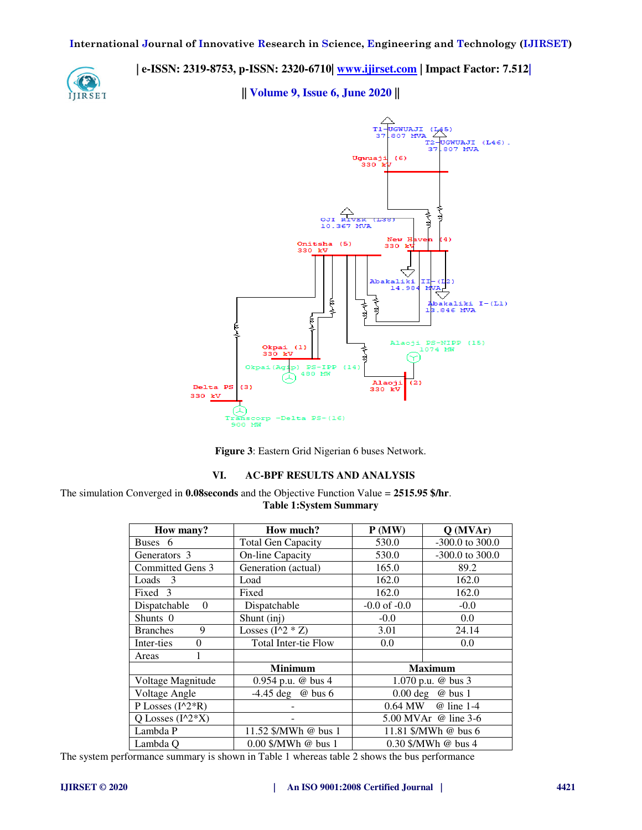

**|| Volume 9, Issue 6, June 2020 ||** 



**Figure 3**: Eastern Grid Nigerian 6 buses Network.

### **VI. AC-BPF RESULTS AND ANALYSIS**

The simulation Converged in **0.08seconds** and the Objective Function Value = **2515.95 \$/hr**. **Table 1:System Summary** 

| How many?                | How much?                   | P(MW)                       | $Q$ (MVAr)        |  |
|--------------------------|-----------------------------|-----------------------------|-------------------|--|
| Buses 6                  | <b>Total Gen Capacity</b>   | 530.0                       | -300.0 to 300.0   |  |
| Generators 3             | <b>On-line Capacity</b>     | 530.0                       | $-300.0$ to 300.0 |  |
| Committed Gens 3         | Generation (actual)         | 165.0                       | 89.2              |  |
| Loads 3                  | Load                        | 162.0                       | 162.0             |  |
| Fixed 3                  | Fixed                       | 162.0                       | 162.0             |  |
| Dispatchable<br>$\Omega$ | Dispatchable                | $-0.0$ of $-0.0$            | $-0.0$            |  |
| Shunts 0                 | Shunt (inj)                 | $-0.0$                      | 0.0               |  |
| <b>Branches</b><br>9     | Losses $(I^2 * Z)$          | 3.01                        | 24.14             |  |
| Inter-ties<br>$\Omega$   | <b>Total Inter-tie Flow</b> | 0.0                         | 0.0               |  |
| Areas                    |                             |                             |                   |  |
|                          | <b>Minimum</b>              |                             | <b>Maximum</b>    |  |
| Voltage Magnitude        | 0.954 p.u. $\omega$ bus 4   | 1.070 p.u. $\omega$ bus 3   |                   |  |
| Voltage Angle            | $-4.45 \deg$ @ bus 6        | $0.00 \text{ deg}$ @ bus 1  |                   |  |
| P Losses $(I^2*R)$       |                             | 0.64 MW<br>@ line 1-4       |                   |  |
| Q Losses $(I^2^*X)$      |                             | 5.00 MVAr $\omega$ line 3-6 |                   |  |
| Lambda P                 | 11.52 \$/MWh @ bus 1        | 11.81 \$/MWh @ bus 6        |                   |  |
| Lambda O                 | $0.00$ \$/MWh @ bus 1       | $0.30$ \$/MWh @ bus 4       |                   |  |

The system performance summary is shown in Table 1 whereas table 2 shows the bus performance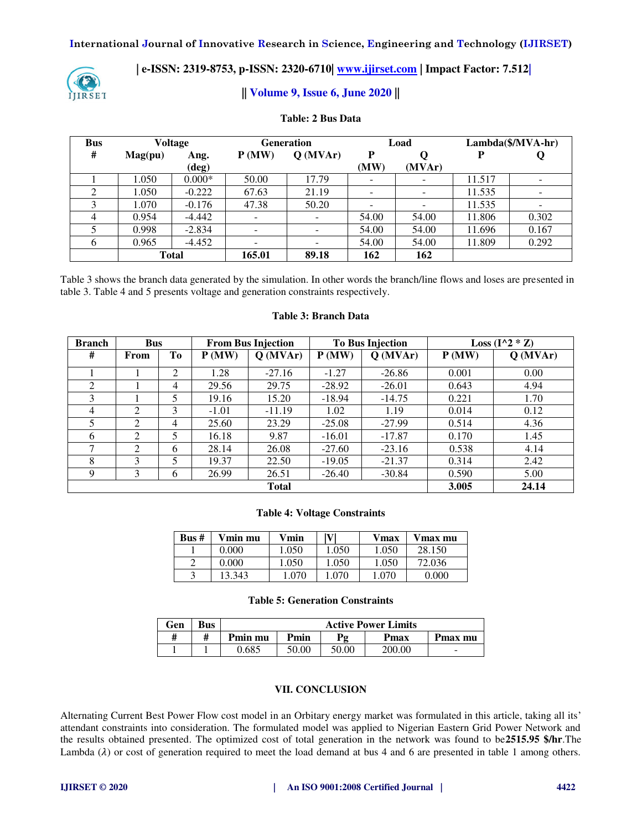**International Journal of Innovative Research in Science, Engineering and Technology (IJIRSET)** 



## **| e-ISSN: 2319-8753, p-ISSN: 2320-6710| [www.ijirset.com](http://www.ijirset.com/) | Impact Factor: 7.512|**

### **|| Volume 9, Issue 6, June 2020 ||**

| <b>Bus</b>     | <b>Voltage</b>   |               | <b>Generation</b> |            | Load      |                          | Lambda(\$/MVA-hr) |       |
|----------------|------------------|---------------|-------------------|------------|-----------|--------------------------|-------------------|-------|
| #              | $\text{Mag}(pu)$ | Ang.<br>(deg) | P(MW)             | $Q$ (MVAr) | P<br>(MW) | (MVAr)                   |                   |       |
|                | 1.050            | $0.000*$      | 50.00             | 17.79      |           |                          | 11.517            |       |
|                | 1.050            | $-0.222$      | 67.63             | 21.19      |           | $\overline{\phantom{0}}$ | 11.535            |       |
| 3              | 1.070            | $-0.176$      | 47.38             | 50.20      |           | $\overline{\phantom{0}}$ | 11.535            |       |
| $\overline{4}$ | 0.954            | $-4.442$      |                   |            | 54.00     | 54.00                    | 11.806            | 0.302 |
|                | 0.998            | $-2.834$      |                   |            | 54.00     | 54.00                    | 11.696            | 0.167 |
| 6              | 0.965            | $-4.452$      |                   |            | 54.00     | 54.00                    | 11.809            | 0.292 |
|                | <b>Total</b>     |               | 165.01            | 89.18      | 162       | 162                      |                   |       |

### **Table: 2 Bus Data**

Table 3 shows the branch data generated by the simulation. In other words the branch/line flows and loses are presented in table 3. Table 4 and 5 presents voltage and generation constraints respectively.

### **Table 3: Branch Data**

| <b>Branch</b><br><b>Bus</b> |                | <b>From Bus Injection</b> |         | <b>To Bus Injection</b> |          | Loss $(I^2 * Z)$ |       |            |
|-----------------------------|----------------|---------------------------|---------|-------------------------|----------|------------------|-------|------------|
| #                           | From           | Tо                        | P(MW)   | $Q$ (MVAr)              | P(MW)    | $Q$ (MVAr)       | P(MW) | $Q$ (MVAr) |
|                             |                | 2                         | 1.28    | $-27.16$                | $-1.27$  | $-26.86$         | 0.001 | 0.00       |
| $\mathfrak{D}$              |                | 4                         | 29.56   | 29.75                   | $-28.92$ | $-26.01$         | 0.643 | 4.94       |
| 3                           |                | 5                         | 19.16   | 15.20                   | $-18.94$ | $-14.75$         | 0.221 | 1.70       |
| $\overline{4}$              | 2              | 3                         | $-1.01$ | $-11.19$                | 1.02     | 1.19             | 0.014 | 0.12       |
| 5                           | 2              | $\overline{4}$            | 25.60   | 23.29                   | $-25.08$ | $-27.99$         | 0.514 | 4.36       |
| 6                           | $\mathfrak{D}$ | 5                         | 16.18   | 9.87                    | $-16.01$ | $-17.87$         | 0.170 | 1.45       |
| ⇁                           | 2              | 6                         | 28.14   | 26.08                   | $-27.60$ | $-23.16$         | 0.538 | 4.14       |
| 8                           | 3              | 5                         | 19.37   | 22.50                   | $-19.05$ | $-21.37$         | 0.314 | 2.42       |
| 9                           | 3              | 6                         | 26.99   | 26.51                   | $-26.40$ | $-30.84$         | 0.590 | 5.00       |
|                             |                |                           |         | <b>Total</b>            |          |                  | 3.005 | 24.14      |

### **Table 4: Voltage Constraints**

| Bus # | Vmin mu | Vmin  | $\mathbf{V}$ | Vmax  | Vmax mu |
|-------|---------|-------|--------------|-------|---------|
|       | 0.000   | .050  | .050         | 1.050 | 28.150  |
|       | 0.000   | 1.050 | 1.050        | 1.050 | 72.036  |
|       | 3.343   | .070  | .070         | .070  | 0.000   |

### **Table 5: Generation Constraints**

| Gen | <b>Bus</b> | <b>Active Power Limits</b> |       |                       |        |                          |  |
|-----|------------|----------------------------|-------|-----------------------|--------|--------------------------|--|
|     |            | Pmin mu                    | Pmin  | $\mathbf{p}_{\sigma}$ | Pmax   | Pmax mu                  |  |
|     |            | 0.685                      | 50.00 | 50.00                 | 200.00 | $\overline{\phantom{a}}$ |  |

### **VII. CONCLUSION**

Alternating Current Best Power Flow cost model in an Orbitary energy market was formulated in this article, taking all its' attendant constraints into consideration. The formulated model was applied to Nigerian Eastern Grid Power Network and the results obtained presented. The optimized cost of total generation in the network was found to be**2515.95 \$/hr**.The Lambda  $(\lambda)$  or cost of generation required to meet the load demand at bus 4 and 6 are presented in table 1 among others.